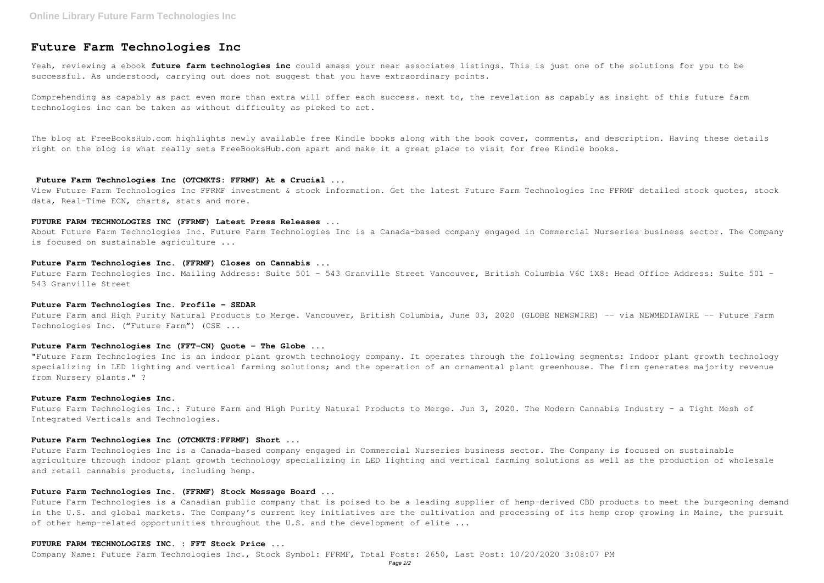Yeah, reviewing a ebook **future farm technologies inc** could amass your near associates listings. This is just one of the solutions for you to be successful. As understood, carrying out does not suggest that you have extraordinary points.

# **Future Farm Technologies Inc**

Comprehending as capably as pact even more than extra will offer each success. next to, the revelation as capably as insight of this future farm technologies inc can be taken as without difficulty as picked to act.

The blog at FreeBooksHub.com highlights newly available free Kindle books along with the book cover, comments, and description. Having these details right on the blog is what really sets FreeBooksHub.com apart and make it a great place to visit for free Kindle books.

Future Farm Technologies Inc. Mailing Address: Suite 501 - 543 Granville Street Vancouver, British Columbia V6C 1X8: Head Office Address: Suite 501 -543 Granville Street

#### **Future Farm Technologies Inc (OTCMKTS: FFRMF) At a Crucial ...**

Future Farm and High Purity Natural Products to Merge. Vancouver, British Columbia, June 03, 2020 (GLOBE NEWSWIRE) -- via NEWMEDIAWIRE -- Future Farm Technologies Inc. ("Future Farm") (CSE ...

View Future Farm Technologies Inc FFRMF investment & stock information. Get the latest Future Farm Technologies Inc FFRMF detailed stock quotes, stock data, Real-Time ECN, charts, stats and more.

#### **FUTURE FARM TECHNOLOGIES INC (FFRMF) Latest Press Releases ...**

Future Farm Technologies Inc.: Future Farm and High Purity Natural Products to Merge. Jun 3, 2020. The Modern Cannabis Industry - a Tight Mesh of Integrated Verticals and Technologies.

About Future Farm Technologies Inc. Future Farm Technologies Inc is a Canada-based company engaged in Commercial Nurseries business sector. The Company is focused on sustainable agriculture ...

## **Future Farm Technologies Inc. (FFRMF) Closes on Cannabis ...**

Future Farm Technologies is a Canadian public company that is poised to be a leading supplier of hemp-derived CBD products to meet the burgeoning demand in the U.S. and global markets. The Company's current key initiatives are the cultivation and processing of its hemp crop growing in Maine, the pursuit of other hemp-related opportunities throughout the U.S. and the development of elite ...

#### **Future Farm Technologies Inc. Profile - SEDAR**

# **Future Farm Technologies Inc (FFT-CN) Quote - The Globe ...**

"Future Farm Technologies Inc is an indoor plant growth technology company. It operates through the following segments: Indoor plant growth technology specializing in LED lighting and vertical farming solutions; and the operation of an ornamental plant greenhouse. The firm generates majority revenue from Nursery plants." ?

#### **Future Farm Technologies Inc.**

# **Future Farm Technologies Inc (OTCMKTS:FFRMF) Short ...**

Future Farm Technologies Inc is a Canada-based company engaged in Commercial Nurseries business sector. The Company is focused on sustainable agriculture through indoor plant growth technology specializing in LED lighting and vertical farming solutions as well as the production of wholesale and retail cannabis products, including hemp.

# **Future Farm Technologies Inc. (FFRMF) Stock Message Board ...**

## **FUTURE FARM TECHNOLOGIES INC. : FFT Stock Price ...**

Company Name: Future Farm Technologies Inc., Stock Symbol: FFRMF, Total Posts: 2650, Last Post: 10/20/2020 3:08:07 PM